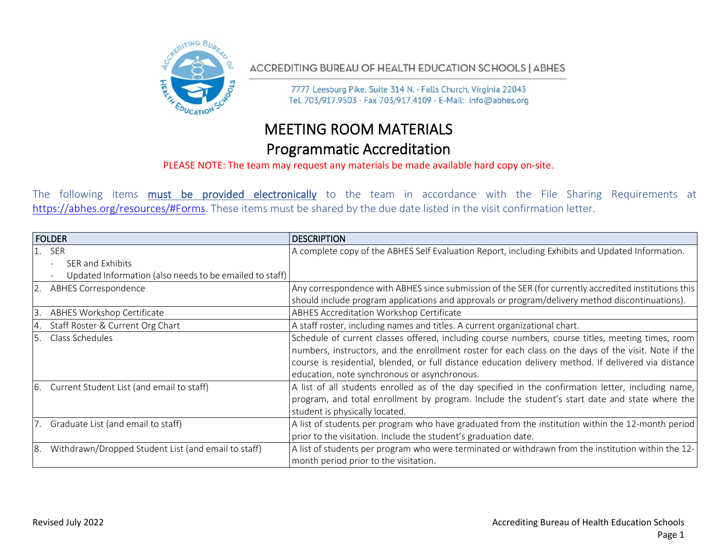

ACCREDITING BUREAU OF HEALTH EDUCATION SCHOOLS | ABHES

7777 Leesburg Pike, Suite 314 N. · Falls Church, Virginia 22043 Tel. 703/917.9503 · Fax 703/917.4109 · E-Mail: info@abhes.org

## MEETING ROOM MATERIALS Programmatic Accreditation

PLEASE NOTE: The team may request any materials be made available hard copy on-site.

The following items must be provided electronically to the team in accordance with the File Sharing Requirements at [https://abhes.org/resources/#Forms.](https://abhes.org/resources/#Forms) These items must be shared by the due date listed in the visit confirmation letter.

| <b>FOLDER</b> |                                                         | <b>DESCRIPTION</b>                                                                                                                                                                                        |
|---------------|---------------------------------------------------------|-----------------------------------------------------------------------------------------------------------------------------------------------------------------------------------------------------------|
| $1.$ SER      |                                                         | A complete copy of the ABHES Self Evaluation Report, including Exhibits and Updated Information.                                                                                                          |
|               | SER and Exhibits                                        |                                                                                                                                                                                                           |
|               | Updated Information (also needs to be emailed to staff) |                                                                                                                                                                                                           |
|               | <b>ABHES Correspondence</b>                             | Any correspondence with ABHES since submission of the SER (for currently accredited institutions this                                                                                                     |
|               |                                                         | should include program applications and approvals or program/delivery method discontinuations).                                                                                                           |
| l3            | ABHES Workshop Certificate                              | ABHES Accreditation Workshop Certificate                                                                                                                                                                  |
| 4             | Staff Roster & Current Org Chart                        | A staff roster, including names and titles. A current organizational chart.                                                                                                                               |
| 5.            | Class Schedules                                         | Schedule of current classes offered, including course numbers, course titles, meeting times, room<br>numbers, instructors, and the enrollment roster for each class on the days of the visit. Note if the |
|               |                                                         | course is residential, blended, or full distance education delivery method. If delivered via distance                                                                                                     |
|               |                                                         | education, note synchronous or asynchronous.                                                                                                                                                              |
| <sup>6.</sup> | Current Student List (and email to staff)               | A list of all students enrolled as of the day specified in the confirmation letter, including name,                                                                                                       |
|               |                                                         | program, and total enrollment by program. Include the student's start date and state where the                                                                                                            |
|               |                                                         | student is physically located.                                                                                                                                                                            |
|               | 7. Graduate List (and email to staff)                   | A list of students per program who have graduated from the institution within the 12-month period                                                                                                         |
|               |                                                         | prior to the visitation. Include the student's graduation date.                                                                                                                                           |
| 8.            | Withdrawn/Dropped Student List (and email to staff)     | A list of students per program who were terminated or withdrawn from the institution within the 12-                                                                                                       |
|               |                                                         | month period prior to the visitation.                                                                                                                                                                     |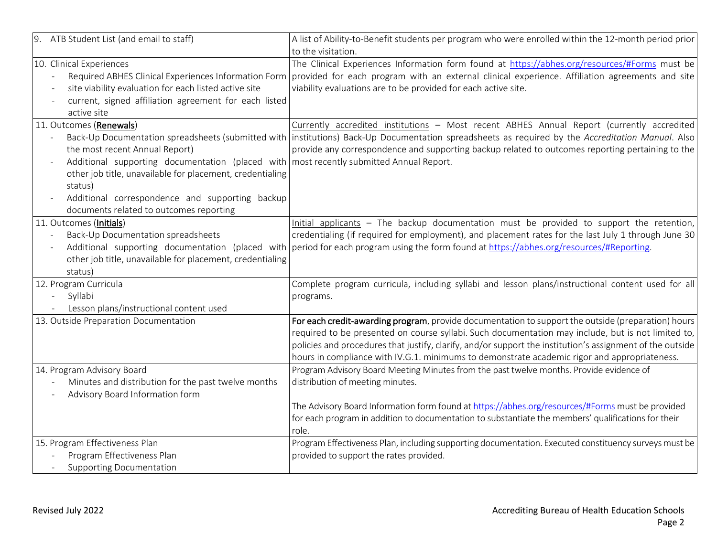| 9. ATB Student List (and email to staff)                                                | A list of Ability-to-Benefit students per program who were enrolled within the 12-month period prior                                                 |
|-----------------------------------------------------------------------------------------|------------------------------------------------------------------------------------------------------------------------------------------------------|
|                                                                                         | to the visitation.                                                                                                                                   |
| 10. Clinical Experiences                                                                | The Clinical Experiences Information form found at https://abhes.org/resources/#Forms must be                                                        |
| $\frac{1}{2}$                                                                           | Required ABHES Clinical Experiences Information Form provided for each program with an external clinical experience. Affiliation agreements and site |
| site viability evaluation for each listed active site                                   | viability evaluations are to be provided for each active site.                                                                                       |
| current, signed affiliation agreement for each listed<br>$\sim$                         |                                                                                                                                                      |
| active site                                                                             |                                                                                                                                                      |
| 11. Outcomes (Renewals)                                                                 | Currently accredited institutions - Most recent ABHES Annual Report (currently accredited                                                            |
|                                                                                         | Back-Up Documentation spreadsheets (submitted with institutions) Back-Up Documentation spreadsheets as required by the Accreditation Manual. Also    |
| the most recent Annual Report)                                                          | provide any correspondence and supporting backup related to outcomes reporting pertaining to the                                                     |
| Additional supporting documentation (placed with most recently submitted Annual Report. |                                                                                                                                                      |
| other job title, unavailable for placement, credentialing                               |                                                                                                                                                      |
| status)                                                                                 |                                                                                                                                                      |
| Additional correspondence and supporting backup                                         |                                                                                                                                                      |
| documents related to outcomes reporting                                                 |                                                                                                                                                      |
| 11. Outcomes (Initials)                                                                 | Initial applicants - The backup documentation must be provided to support the retention,                                                             |
| Back-Up Documentation spreadsheets                                                      | credentialing (if required for employment), and placement rates for the last July 1 through June 30                                                  |
|                                                                                         | Additional supporting documentation (placed with period for each program using the form found at https://abhes.org/resources/#Reporting.             |
| other job title, unavailable for placement, credentialing                               |                                                                                                                                                      |
| status)                                                                                 |                                                                                                                                                      |
| 12. Program Curricula                                                                   | Complete program curricula, including syllabi and lesson plans/instructional content used for all                                                    |
| Syllabi                                                                                 | programs.                                                                                                                                            |
| Lesson plans/instructional content used                                                 |                                                                                                                                                      |
| 13. Outside Preparation Documentation                                                   | For each credit-awarding program, provide documentation to support the outside (preparation) hours                                                   |
|                                                                                         | required to be presented on course syllabi. Such documentation may include, but is not limited to,                                                   |
|                                                                                         | policies and procedures that justify, clarify, and/or support the institution's assignment of the outside                                            |
|                                                                                         | hours in compliance with IV.G.1. minimums to demonstrate academic rigor and appropriateness.                                                         |
| 14. Program Advisory Board                                                              | Program Advisory Board Meeting Minutes from the past twelve months. Provide evidence of                                                              |
| Minutes and distribution for the past twelve months                                     | distribution of meeting minutes.                                                                                                                     |
| Advisory Board Information form                                                         |                                                                                                                                                      |
|                                                                                         | The Advisory Board Information form found at https://abhes.org/resources/#Forms must be provided                                                     |
|                                                                                         | for each program in addition to documentation to substantiate the members' qualifications for their                                                  |
|                                                                                         | role.                                                                                                                                                |
| 15. Program Effectiveness Plan                                                          | Program Effectiveness Plan, including supporting documentation. Executed constituency surveys must be                                                |
| Program Effectiveness Plan                                                              | provided to support the rates provided.                                                                                                              |
| <b>Supporting Documentation</b>                                                         |                                                                                                                                                      |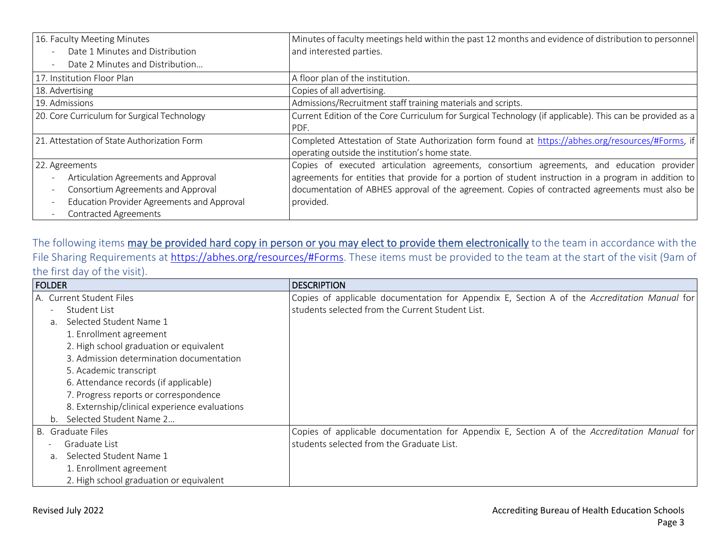| 16. Faculty Meeting Minutes                                            | Minutes of faculty meetings held within the past 12 months and evidence of distribution to personnel      |
|------------------------------------------------------------------------|-----------------------------------------------------------------------------------------------------------|
| Date 1 Minutes and Distribution<br>$\overline{\phantom{a}}$            | and interested parties.                                                                                   |
| Date 2 Minutes and Distribution<br>$\overline{\phantom{a}}$            |                                                                                                           |
| 17. Institution Floor Plan                                             | A floor plan of the institution.                                                                          |
| 18. Advertising                                                        | Copies of all advertising.                                                                                |
| 19. Admissions                                                         | Admissions/Recruitment staff training materials and scripts.                                              |
| 20. Core Curriculum for Surgical Technology                            | Current Edition of the Core Curriculum for Surgical Technology (if applicable). This can be provided as a |
|                                                                        | PDF.                                                                                                      |
| 21. Attestation of State Authorization Form                            | Completed Attestation of State Authorization form found at https://abhes.org/resources/#Forms, if         |
|                                                                        | operating outside the institution's home state.                                                           |
| 22. Agreements                                                         | Copies of executed articulation agreements, consortium agreements, and education provider                 |
| Articulation Agreements and Approval<br>$\overline{\phantom{a}}$       | agreements for entities that provide for a portion of student instruction in a program in addition to     |
| Consortium Agreements and Approval<br>$\overline{\phantom{a}}$         | documentation of ABHES approval of the agreement. Copies of contracted agreements must also be            |
| Education Provider Agreements and Approval<br>$\overline{\phantom{a}}$ | provided.                                                                                                 |
| <b>Contracted Agreements</b><br>$\overline{\phantom{a}}$               |                                                                                                           |

The following items may be provided hard copy in person or you may elect to provide them electronically to the team in accordance with the File Sharing Requirements at [https://abhes.org/resources/#Forms.](https://abhes.org/resources/#Forms) These items must be provided to the team at the start of the visit (9am of the first day of the visit).

| <b>FOLDER</b>  |                                               | <b>DESCRIPTION</b>                                                                           |
|----------------|-----------------------------------------------|----------------------------------------------------------------------------------------------|
|                | A. Current Student Files                      | Copies of applicable documentation for Appendix E, Section A of the Accreditation Manual for |
|                | Student List                                  | students selected from the Current Student List.                                             |
| a.             | Selected Student Name 1                       |                                                                                              |
|                | 1. Enrollment agreement                       |                                                                                              |
|                | 2. High school graduation or equivalent       |                                                                                              |
|                | 3. Admission determination documentation      |                                                                                              |
|                | 5. Academic transcript                        |                                                                                              |
|                | 6. Attendance records (if applicable)         |                                                                                              |
|                | 7. Progress reports or correspondence         |                                                                                              |
|                | 8. Externship/clinical experience evaluations |                                                                                              |
| $b_{1}$        | Selected Student Name 2                       |                                                                                              |
|                | B. Graduate Files                             | Copies of applicable documentation for Appendix E, Section A of the Accreditation Manual for |
|                | Graduate List                                 | students selected from the Graduate List.                                                    |
| a <sub>z</sub> | Selected Student Name 1                       |                                                                                              |
|                | 1. Enrollment agreement                       |                                                                                              |
|                | 2. High school graduation or equivalent       |                                                                                              |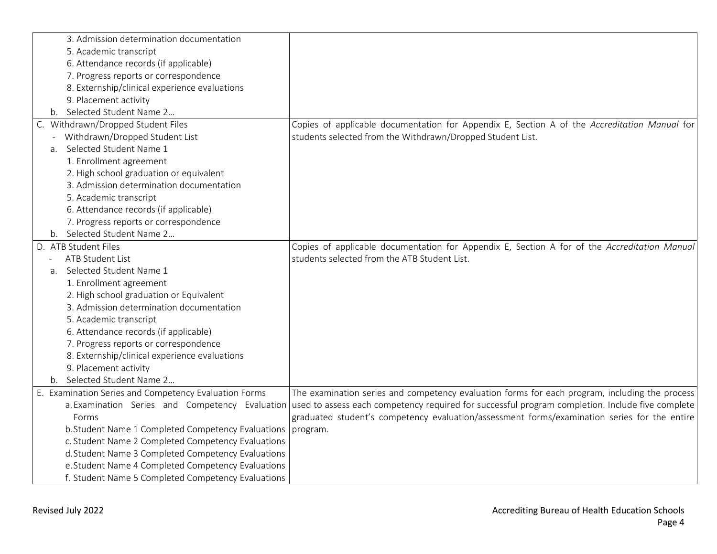| 3. Admission determination documentation                      |                                                                                                                                                  |
|---------------------------------------------------------------|--------------------------------------------------------------------------------------------------------------------------------------------------|
| 5. Academic transcript                                        |                                                                                                                                                  |
| 6. Attendance records (if applicable)                         |                                                                                                                                                  |
| 7. Progress reports or correspondence                         |                                                                                                                                                  |
| 8. Externship/clinical experience evaluations                 |                                                                                                                                                  |
| 9. Placement activity                                         |                                                                                                                                                  |
| Selected Student Name 2<br>b.                                 |                                                                                                                                                  |
| C. Withdrawn/Dropped Student Files                            | Copies of applicable documentation for Appendix E, Section A of the Accreditation Manual for                                                     |
| Withdrawn/Dropped Student List                                | students selected from the Withdrawn/Dropped Student List.                                                                                       |
| Selected Student Name 1<br>a.                                 |                                                                                                                                                  |
| 1. Enrollment agreement                                       |                                                                                                                                                  |
| 2. High school graduation or equivalent                       |                                                                                                                                                  |
| 3. Admission determination documentation                      |                                                                                                                                                  |
| 5. Academic transcript                                        |                                                                                                                                                  |
| 6. Attendance records (if applicable)                         |                                                                                                                                                  |
| 7. Progress reports or correspondence                         |                                                                                                                                                  |
| b. Selected Student Name 2                                    |                                                                                                                                                  |
| D. ATB Student Files                                          | Copies of applicable documentation for Appendix E, Section A for of the Accreditation Manual                                                     |
| <b>ATB Student List</b>                                       | students selected from the ATB Student List.                                                                                                     |
| Selected Student Name 1<br>a.                                 |                                                                                                                                                  |
| 1. Enrollment agreement                                       |                                                                                                                                                  |
| 2. High school graduation or Equivalent                       |                                                                                                                                                  |
| 3. Admission determination documentation                      |                                                                                                                                                  |
| 5. Academic transcript                                        |                                                                                                                                                  |
| 6. Attendance records (if applicable)                         |                                                                                                                                                  |
| 7. Progress reports or correspondence                         |                                                                                                                                                  |
| 8. Externship/clinical experience evaluations                 |                                                                                                                                                  |
| 9. Placement activity                                         |                                                                                                                                                  |
| b. Selected Student Name 2                                    |                                                                                                                                                  |
| E. Examination Series and Competency Evaluation Forms         | The examination series and competency evaluation forms for each program, including the process                                                   |
|                                                               | a. Examination Series and Competency Evaluation used to assess each competency required for successful program completion. Include five complete |
| Forms                                                         | graduated student's competency evaluation/assessment forms/examination series for the entire                                                     |
| b. Student Name 1 Completed Competency Evaluations   program. |                                                                                                                                                  |
| c. Student Name 2 Completed Competency Evaluations            |                                                                                                                                                  |
| d.Student Name 3 Completed Competency Evaluations             |                                                                                                                                                  |
| e. Student Name 4 Completed Competency Evaluations            |                                                                                                                                                  |
| f. Student Name 5 Completed Competency Evaluations            |                                                                                                                                                  |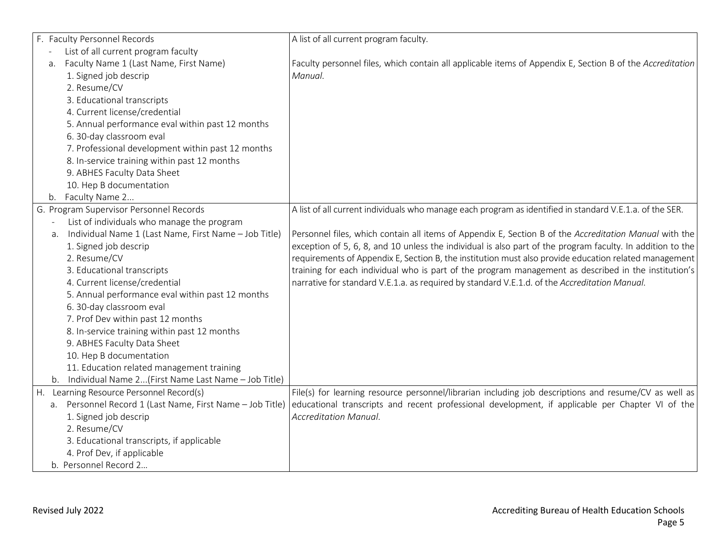|                          | F. Faculty Personnel Records                                | A list of all current program faculty.                                                                     |
|--------------------------|-------------------------------------------------------------|------------------------------------------------------------------------------------------------------------|
|                          | List of all current program faculty                         |                                                                                                            |
| a.                       | Faculty Name 1 (Last Name, First Name)                      | Faculty personnel files, which contain all applicable items of Appendix E, Section B of the Accreditation  |
|                          | 1. Signed job descrip                                       | Manual.                                                                                                    |
|                          | 2. Resume/CV                                                |                                                                                                            |
|                          | 3. Educational transcripts                                  |                                                                                                            |
|                          | 4. Current license/credential                               |                                                                                                            |
|                          | 5. Annual performance eval within past 12 months            |                                                                                                            |
|                          | 6. 30-day classroom eval                                    |                                                                                                            |
|                          | 7. Professional development within past 12 months           |                                                                                                            |
|                          | 8. In-service training within past 12 months                |                                                                                                            |
|                          | 9. ABHES Faculty Data Sheet                                 |                                                                                                            |
|                          | 10. Hep B documentation                                     |                                                                                                            |
| b.                       | Faculty Name 2                                              |                                                                                                            |
|                          | G. Program Supervisor Personnel Records                     | A list of all current individuals who manage each program as identified in standard V.E.1.a. of the SER.   |
| $\overline{\phantom{a}}$ | List of individuals who manage the program                  |                                                                                                            |
|                          | Individual Name 1 (Last Name, First Name - Job Title)<br>а. | Personnel files, which contain all items of Appendix E, Section B of the Accreditation Manual with the     |
|                          | 1. Signed job descrip                                       | exception of 5, 6, 8, and 10 unless the individual is also part of the program faculty. In addition to the |
|                          | 2. Resume/CV                                                | requirements of Appendix E, Section B, the institution must also provide education related management      |
|                          | 3. Educational transcripts                                  | training for each individual who is part of the program management as described in the institution's       |
|                          | 4. Current license/credential                               | narrative for standard V.E.1.a. as required by standard V.E.1.d. of the Accreditation Manual.              |
|                          | 5. Annual performance eval within past 12 months            |                                                                                                            |
|                          | 6. 30-day classroom eval                                    |                                                                                                            |
|                          | 7. Prof Dev within past 12 months                           |                                                                                                            |
|                          | 8. In-service training within past 12 months                |                                                                                                            |
|                          | 9. ABHES Faculty Data Sheet                                 |                                                                                                            |
|                          | 10. Hep B documentation                                     |                                                                                                            |
|                          | 11. Education related management training                   |                                                                                                            |
|                          | b. Individual Name 2(First Name Last Name - Job Title)      |                                                                                                            |
| Η.                       | Learning Resource Personnel Record(s)                       | File(s) for learning resource personnel/librarian including job descriptions and resume/CV as well as      |
|                          | a. Personnel Record 1 (Last Name, First Name - Job Title)   | educational transcripts and recent professional development, if applicable per Chapter VI of the           |
|                          | 1. Signed job descrip                                       | <b>Accreditation Manual.</b>                                                                               |
|                          | 2. Resume/CV                                                |                                                                                                            |
|                          | 3. Educational transcripts, if applicable                   |                                                                                                            |
|                          | 4. Prof Dev, if applicable                                  |                                                                                                            |
|                          | b. Personnel Record 2                                       |                                                                                                            |